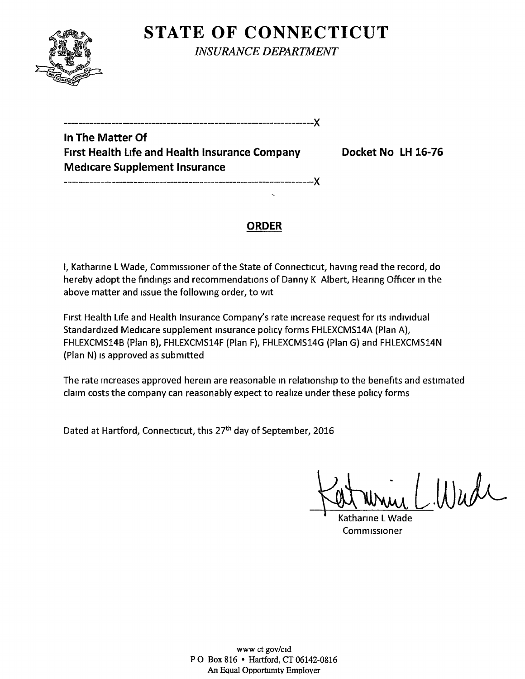

**STATE OF CONNECTICUT INSURANCE DEPARTMENT** 

In The Matter Of **First Health Life and Health Insurance Company Medicare Supplement Insurance** 

Docket No LH 16-76

## **ORDER**

--------------------X

I, Katharine L Wade, Commissioner of the State of Connecticut, having read the record, do hereby adopt the findings and recommendations of Danny K Albert, Hearing Officer in the above matter and issue the following order, to wit

First Health Life and Health Insurance Company's rate increase request for its individual Standardized Medicare supplement insurance policy forms FHLEXCMS14A (Plan A), FHLEXCMS14B (Plan B), FHLEXCMS14F (Plan F), FHLEXCMS14G (Plan G) and FHLEXCMS14N (Plan N) is approved as submitted

The rate increases approved herein are reasonable in relationship to the benefits and estimated claim costs the company can reasonably expect to realize under these policy forms

Dated at Hartford, Connecticut, this 27th day of September, 2016

 $\ln\mu$ 

Katharine L Wade Commissioner

www ct gov/cid PO Box 816 • Hartford, CT 06142-0816 An Equal Opportunity Employer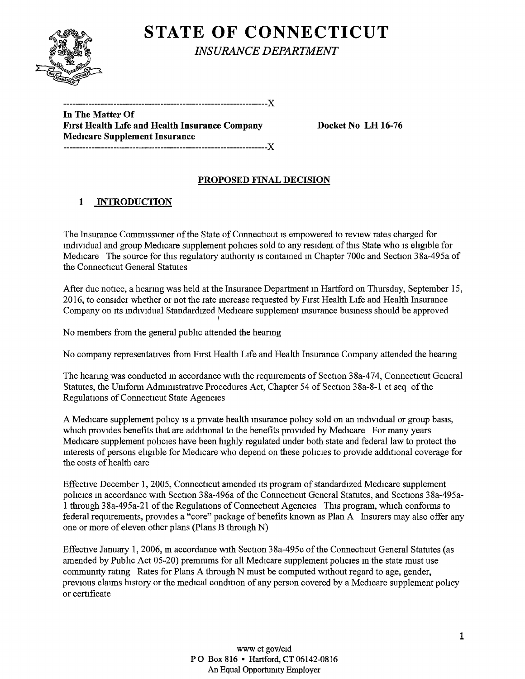

# **STATE OF CONNECTICUT INSURANCE DEPARTMENT**

In The Matter Of **First Health Life and Health Insurance Company Medicare Supplement Insurance** 

------------------------------------X

Docket No LH 16-76

### PROPOSED FINAL DECISION

#### **INTRODUCTION**  $\mathbf{1}$

The Insurance Commissioner of the State of Connecticut is empowered to review rates charged for individual and group Medicare supplement policies sold to any resident of this State who is eligible for Medicare The source for this regulatory authority is contained in Chapter 700c and Section 38a-495a of the Connecticut General Statutes

After due notice, a hearing was held at the Insurance Department in Hartford on Thursday, September 15, 2016, to consider whether or not the rate increase requested by First Health Life and Health Insurance Company on its individual Standardized Medicare supplement insurance business should be approved

No members from the general public attended the hearing

No company representatives from First Health Life and Health Insurance Company attended the hearing

The hearing was conducted in accordance with the requirements of Section 38a-474, Connecticut General Statutes, the Uniform Administrative Procedures Act, Chapter 54 of Section 38a-8-1 et seq of the **Regulations of Connecticut State Agencies** 

A Medicare supplement policy is a private health insurance policy sold on an individual or group basis, which provides benefits that are additional to the benefits provided by Medicare For many years Medicare supplement policies have been highly regulated under both state and federal law to protect the interests of persons eligible for Medicare who depend on these policies to provide additional coverage for the costs of health care

Effective December 1, 2005, Connecticut amended its program of standardized Medicare supplement policies in accordance with Section 38a-496a of the Connecticut General Statutes, and Sections 38a-495a-1 through 38a-495a-21 of the Regulations of Connecticut Agencies This program, which conforms to federal requirements, provides a "core" package of benefits known as Plan A Insurers may also offer any one or more of eleven other plans (Plans B through N)

Effective January 1, 2006, in accordance with Section 38a-495c of the Connecticut General Statutes (as amended by Public Act 05-20) premiums for all Medicare supplement policies in the state must use community rating Rates for Plans A through N must be computed without regard to age, gender, previous claims history or the medical condition of any person covered by a Medicare supplement policy or certificate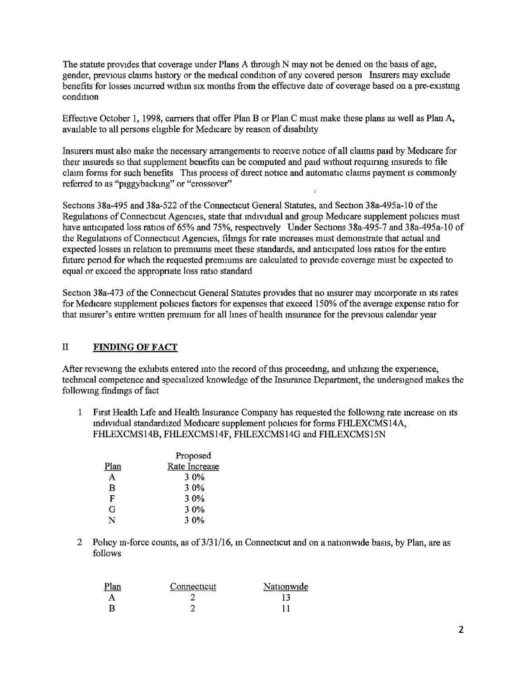The statute provides that coverage under Plans A through N may not be demed on the basis of age, gender, previous claims history or the medical condition of any covered person Insurers may exclude benefits for losses incurred within six months from the effective date of coverage based on a pre-existing condition

Effective October 1, 1998, earners that offer Plan B or Plan C must make these plans as well as Plan A, available to all persons eligible for Medicare by reason of disability

Insurers must also make the necessary arrangements to receive notice of all claims paid by Medicare for their insureds so that supplement benefits can be computed and paid without requiring insureds to file claim forms for such benefits This process of direct notice and automatic claims payment is commonly referred to as "piggybackmg" or "crossover"

Sections 38a-495 and 38a-522 of the Connecticut General Statutes, and Section 38a-495a-10 of the Regulations of Connecticut Agencies, state that individual and group Medicare supplement policies must have anticipated loss ratios of 65% and 75%, respectively Under Sections 38a-495-7 and 38a-495a-10 of the Regulations of Connecticut Agencies, filmgs for rate increases must demonstrate that actual and expected losses in relation to premiums meet these standards, and anticipated loss ratios for the entire future penod for which the requested premmms are calculated to provide coverage must be expected to equal or exceed the appropnate loss ratio standard

Section 38a-473 of the Connecticut General Statutes provides that no insurer may incorporate in its rates for Medicare supplement policies factors for expenses that exceed 150% of the average expense ratio for that msurer's entire written premmm for all hnes ofhealth msurance for the previous calendar year

### ll FINDING OF FACT

After reviewing the exhibits entered into the record of this proceeding, and utilizing the experience, technical competence and specialized knowledge of the Insurance Department, the undersigned makes the following findings of fact

1 Frrst Health Ltfe and Health Insurance Company has requested the followmg rate mcrease on tts individual standardized Medicare supplement policies for forms FHLEXCMS14A, FHLEXCMS14B, FHLEXCMS14F, FHLEXCMS14G and FHLEXCMS15N

| Proposed      |
|---------------|
| Rate Increase |
| 3.0%          |
| 3.0%          |
| $3.0\%$       |
| 3.0%          |
| 3.0%          |
|               |

2 Policy in-force counts, as of  $3/31/16$ , in Connecticut and on a nationwide basis, by Plan, are as follows

| Plan | Connecticut | Nationwide |
|------|-------------|------------|
|      |             |            |
|      |             |            |